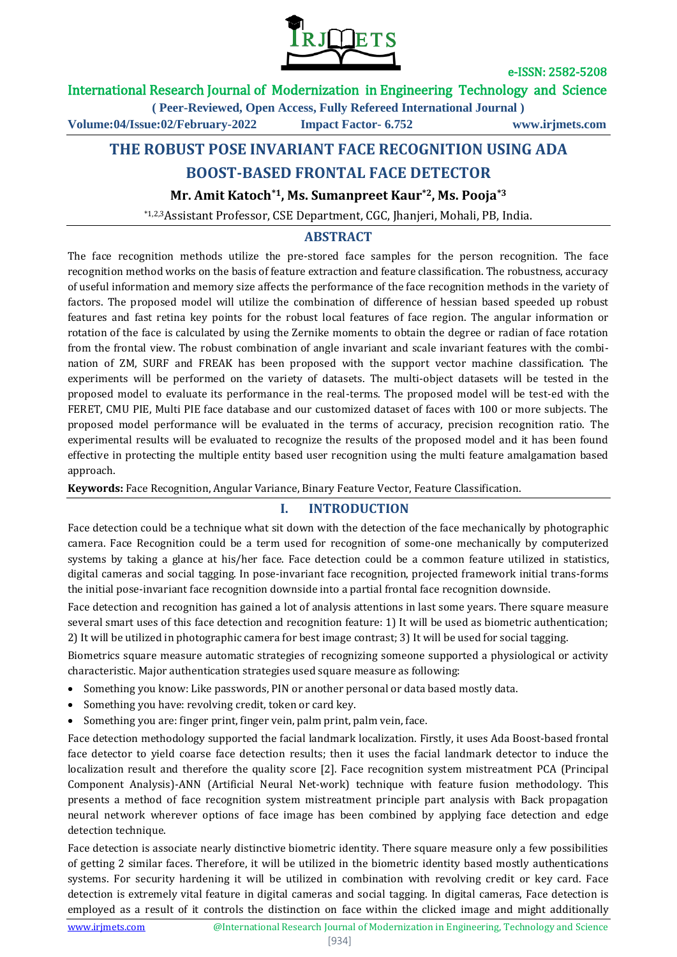

#### International Research Journal of Modernization in Engineering Technology and Science

**( Peer-Reviewed, Open Access, Fully Refereed International Journal ) Volume:04/Issue:02/February-2022 Impact Factor- 6.752 www.irjmets.com**

# **THE ROBUST POSE INVARIANT FACE RECOGNITION USING ADA**

# **BOOST-BASED FRONTAL FACE DETECTOR**

**Mr. Amit Katoch\*1, Ms. Sumanpreet Kaur\*2, Ms. Pooja\*3**

\*1,2,3Assistant Professor, CSE Department, CGC, Jhanjeri, Mohali, PB, India.

## **ABSTRACT**

The face recognition methods utilize the pre-stored face samples for the person recognition. The face recognition method works on the basis of feature extraction and feature classification. The robustness, accuracy of useful information and memory size affects the performance of the face recognition methods in the variety of factors. The proposed model will utilize the combination of difference of hessian based speeded up robust features and fast retina key points for the robust local features of face region. The angular information or rotation of the face is calculated by using the Zernike moments to obtain the degree or radian of face rotation from the frontal view. The robust combination of angle invariant and scale invariant features with the combination of ZM, SURF and FREAK has been proposed with the support vector machine classification. The experiments will be performed on the variety of datasets. The multi-object datasets will be tested in the proposed model to evaluate its performance in the real-terms. The proposed model will be test-ed with the FERET, CMU PIE, Multi PIE face database and our customized dataset of faces with 100 or more subjects. The proposed model performance will be evaluated in the terms of accuracy, precision recognition ratio. The experimental results will be evaluated to recognize the results of the proposed model and it has been found effective in protecting the multiple entity based user recognition using the multi feature amalgamation based approach.

**Keywords:** Face Recognition, Angular Variance, Binary Feature Vector, Feature Classification.

## **I. INTRODUCTION**

Face detection could be a technique what sit down with the detection of the face mechanically by photographic camera. Face Recognition could be a term used for recognition of some-one mechanically by computerized systems by taking a glance at his/her face. Face detection could be a common feature utilized in statistics, digital cameras and social tagging. In pose-invariant face recognition, projected framework initial trans-forms the initial pose-invariant face recognition downside into a partial frontal face recognition downside.

Face detection and recognition has gained a lot of analysis attentions in last some years. There square measure several smart uses of this face detection and recognition feature: 1) It will be used as biometric authentication; 2) It will be utilized in photographic camera for best image contrast; 3) It will be used for social tagging.

Biometrics square measure automatic strategies of recognizing someone supported a physiological or activity characteristic. Major authentication strategies used square measure as following:

- Something you know: Like passwords, PIN or another personal or data based mostly data.
- Something you have: revolving credit, token or card key.
- Something you are: finger print, finger vein, palm print, palm vein, face.

Face detection methodology supported the facial landmark localization. Firstly, it uses Ada Boost-based frontal face detector to yield coarse face detection results; then it uses the facial landmark detector to induce the localization result and therefore the quality score [2]. Face recognition system mistreatment PCA (Principal Component Analysis)-ANN (Artificial Neural Net-work) technique with feature fusion methodology. This presents a method of face recognition system mistreatment principle part analysis with Back propagation neural network wherever options of face image has been combined by applying face detection and edge detection technique.

Face detection is associate nearly distinctive biometric identity. There square measure only a few possibilities of getting 2 similar faces. Therefore, it will be utilized in the biometric identity based mostly authentications systems. For security hardening it will be utilized in combination with revolving credit or key card. Face detection is extremely vital feature in digital cameras and social tagging. In digital cameras, Face detection is employed as a result of it controls the distinction on face within the clicked image and might additionally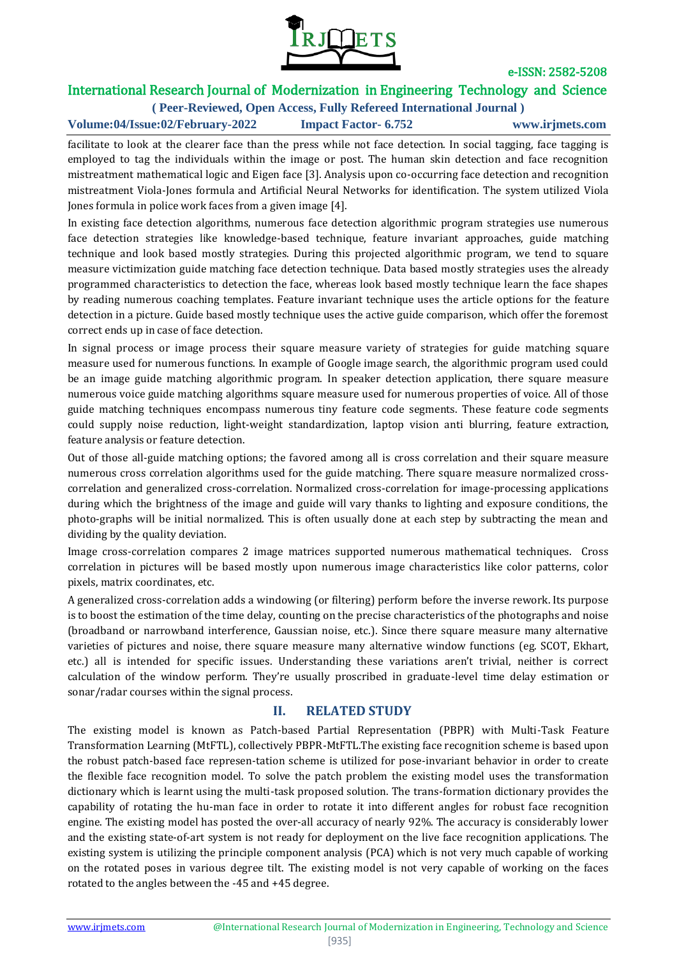

## International Research Journal of Modernization in Engineering Technology and Science

**( Peer-Reviewed, Open Access, Fully Refereed International Journal ) Volume:04/Issue:02/February-2022 Impact Factor- 6.752 www.irjmets.com**

facilitate to look at the clearer face than the press while not face detection. In social tagging, face tagging is employed to tag the individuals within the image or post. The human skin detection and face recognition mistreatment mathematical logic and Eigen face [3]. Analysis upon co-occurring face detection and recognition mistreatment Viola-Jones formula and Artificial Neural Networks for identification. The system utilized Viola Jones formula in police work faces from a given image [4].

In existing face detection algorithms, numerous face detection algorithmic program strategies use numerous face detection strategies like knowledge-based technique, feature invariant approaches, guide matching technique and look based mostly strategies. During this projected algorithmic program, we tend to square measure victimization guide matching face detection technique. Data based mostly strategies uses the already programmed characteristics to detection the face, whereas look based mostly technique learn the face shapes by reading numerous coaching templates. Feature invariant technique uses the article options for the feature detection in a picture. Guide based mostly technique uses the active guide comparison, which offer the foremost correct ends up in case of face detection.

In signal process or image process their square measure variety of strategies for guide matching square measure used for numerous functions. In example of Google image search, the algorithmic program used could be an image guide matching algorithmic program. In speaker detection application, there square measure numerous voice guide matching algorithms square measure used for numerous properties of voice. All of those guide matching techniques encompass numerous tiny feature code segments. These feature code segments could supply noise reduction, light-weight standardization, laptop vision anti blurring, feature extraction, feature analysis or feature detection.

Out of those all-guide matching options; the favored among all is cross correlation and their square measure numerous cross correlation algorithms used for the guide matching. There square measure normalized crosscorrelation and generalized cross-correlation. Normalized cross-correlation for image-processing applications during which the brightness of the image and guide will vary thanks to lighting and exposure conditions, the photo-graphs will be initial normalized. This is often usually done at each step by subtracting the mean and dividing by the quality deviation.

Image cross-correlation compares 2 image matrices supported numerous mathematical techniques. Cross correlation in pictures will be based mostly upon numerous image characteristics like color patterns, color pixels, matrix coordinates, etc.

A generalized cross-correlation adds a windowing (or filtering) perform before the inverse rework. Its purpose is to boost the estimation of the time delay, counting on the precise characteristics of the photographs and noise (broadband or narrowband interference, Gaussian noise, etc.). Since there square measure many alternative varieties of pictures and noise, there square measure many alternative window functions (eg. SCOT, Ekhart, etc.) all is intended for specific issues. Understanding these variations aren't trivial, neither is correct calculation of the window perform. They're usually proscribed in graduate-level time delay estimation or sonar/radar courses within the signal process.

## **II. RELATED STUDY**

The existing model is known as Patch-based Partial Representation (PBPR) with Multi-Task Feature Transformation Learning (MtFTL), collectively PBPR-MtFTL.The existing face recognition scheme is based upon the robust patch-based face represen-tation scheme is utilized for pose-invariant behavior in order to create the flexible face recognition model. To solve the patch problem the existing model uses the transformation dictionary which is learnt using the multi-task proposed solution. The trans-formation dictionary provides the capability of rotating the hu-man face in order to rotate it into different angles for robust face recognition engine. The existing model has posted the over-all accuracy of nearly 92%. The accuracy is considerably lower and the existing state-of-art system is not ready for deployment on the live face recognition applications. The existing system is utilizing the principle component analysis (PCA) which is not very much capable of working on the rotated poses in various degree tilt. The existing model is not very capable of working on the faces rotated to the angles between the -45 and +45 degree.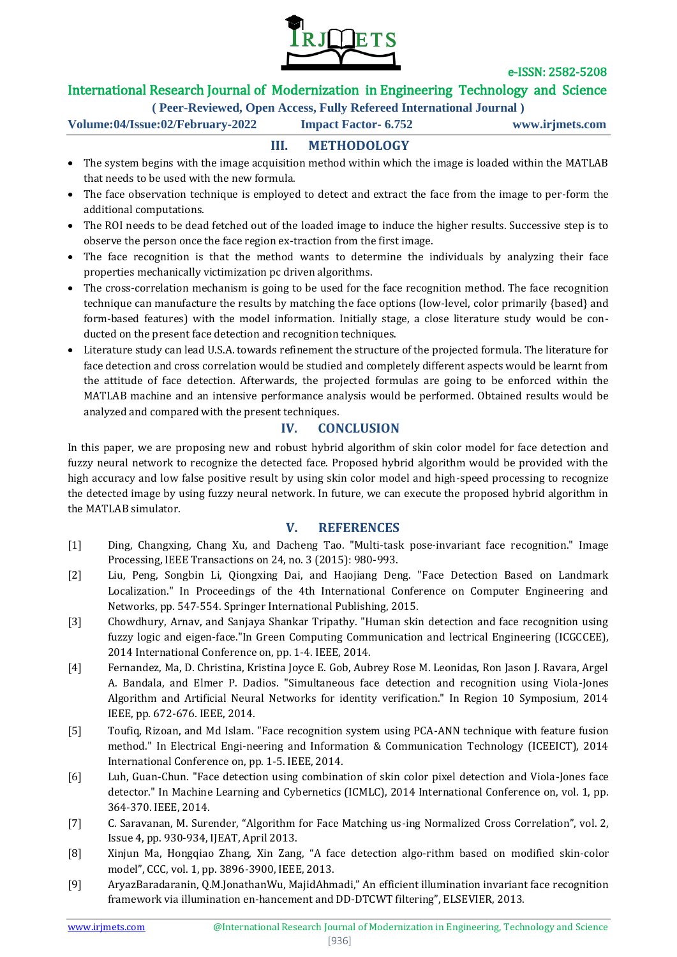

## International Research Journal of Modernization in Engineering Technology and Science

**( Peer-Reviewed, Open Access, Fully Refereed International Journal )**

**Volume:04/Issue:02/February-2022 Impact Factor- 6.752 www.irjmets.com**

## **III. METHODOLOGY**

- The system begins with the image acquisition method within which the image is loaded within the MATLAB that needs to be used with the new formula.
- The face observation technique is employed to detect and extract the face from the image to per-form the additional computations.
- The ROI needs to be dead fetched out of the loaded image to induce the higher results. Successive step is to observe the person once the face region ex-traction from the first image.
- The face recognition is that the method wants to determine the individuals by analyzing their face properties mechanically victimization pc driven algorithms.
- The cross-correlation mechanism is going to be used for the face recognition method. The face recognition technique can manufacture the results by matching the face options (low-level, color primarily {based} and form-based features) with the model information. Initially stage, a close literature study would be conducted on the present face detection and recognition techniques.
- Literature study can lead U.S.A. towards refinement the structure of the projected formula. The literature for face detection and cross correlation would be studied and completely different aspects would be learnt from the attitude of face detection. Afterwards, the projected formulas are going to be enforced within the MATLAB machine and an intensive performance analysis would be performed. Obtained results would be analyzed and compared with the present techniques.

#### **IV. CONCLUSION**

In this paper, we are proposing new and robust hybrid algorithm of skin color model for face detection and fuzzy neural network to recognize the detected face. Proposed hybrid algorithm would be provided with the high accuracy and low false positive result by using skin color model and high-speed processing to recognize the detected image by using fuzzy neural network. In future, we can execute the proposed hybrid algorithm in the MATLAB simulator.

#### **V. REFERENCES**

- [1] Ding, Changxing, Chang Xu, and Dacheng Tao. "Multi-task pose-invariant face recognition." Image Processing, IEEE Transactions on 24, no. 3 (2015): 980-993.
- [2] Liu, Peng, Songbin Li, Qiongxing Dai, and Haojiang Deng. "Face Detection Based on Landmark Localization." In Proceedings of the 4th International Conference on Computer Engineering and Networks, pp. 547-554. Springer International Publishing, 2015.
- [3] Chowdhury, Arnav, and Sanjaya Shankar Tripathy. "Human skin detection and face recognition using fuzzy logic and eigen-face."In Green Computing Communication and lectrical Engineering (ICGCCEE), 2014 International Conference on, pp. 1-4. IEEE, 2014.
- [4] Fernandez, Ma, D. Christina, Kristina Joyce E. Gob, Aubrey Rose M. Leonidas, Ron Jason J. Ravara, Argel A. Bandala, and Elmer P. Dadios. "Simultaneous face detection and recognition using Viola-Jones Algorithm and Artificial Neural Networks for identity verification." In Region 10 Symposium, 2014 IEEE, pp. 672-676. IEEE, 2014.
- [5] Toufiq, Rizoan, and Md Islam. "Face recognition system using PCA-ANN technique with feature fusion method." In Electrical Engi-neering and Information & Communication Technology (ICEEICT), 2014 International Conference on, pp. 1-5. IEEE, 2014.
- [6] Luh, Guan-Chun. "Face detection using combination of skin color pixel detection and Viola-Jones face detector." In Machine Learning and Cybernetics (ICMLC), 2014 International Conference on, vol. 1, pp. 364-370. IEEE, 2014.
- [7] C. Saravanan, M. Surender, "Algorithm for Face Matching us-ing Normalized Cross Correlation", vol. 2, Issue 4, pp. 930-934, IJEAT, April 2013.
- [8] Xinjun Ma, Hongqiao Zhang, Xin Zang, "A face detection algo-rithm based on modified skin-color model", CCC, vol. 1, pp. 3896-3900, IEEE, 2013.
- [9] AryazBaradaranin, Q.M.JonathanWu, MajidAhmadi," An efficient illumination invariant face recognition framework via illumination en-hancement and DD-DTCWT filtering", ELSEVIER, 2013.